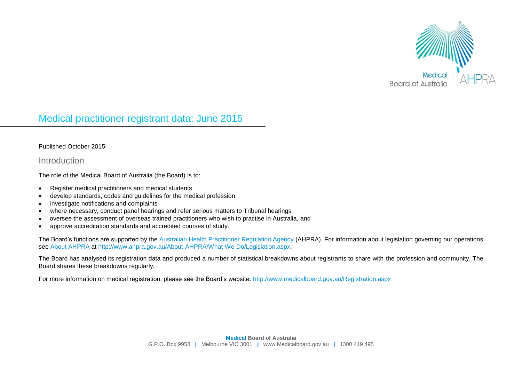

# Medical practitioner registrant data: June 2015

#### Published October 2015

Introduction

The role of the Medical Board of Australia (the Board) is to:

- Register medical practitioners and medical students
- develop standards, codes and guidelines for the medical profession
- investigate notifications and complaints
- where necessary, conduct panel hearings and refer serious matters to Tribunal hearings
- oversee the assessment of overseas trained practitioners who wish to practise in Australia, and
- approve accreditation standards and accredited courses of study.

The Board's functions are supported by the [Australian Health Practitioner Regulation Agency](http://www.ahpra.gov.au/) (AHPRA). For information about legislation governing our operations see [About AHPRA](http://www.ahpra.gov.au/About-AHPRA/What-We-Do/Legislation.aspx) at [http://www.ahpra.gov.au/About-AHPRA/What-We-Do/Legislation.aspx.](http://www.ahpra.gov.au/About-AHPRA/What-We-Do/Legislation.aspx)

The Board has analysed its registration data and produced a number of statistical breakdowns about registrants to share with the profession and community. The Board shares these breakdowns regularly.

For more information on medical registration, please see the Board's website:<http://www.medicalboard.gov.au/Registration.aspx>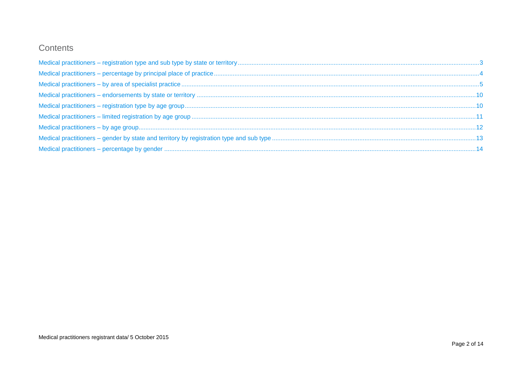# Contents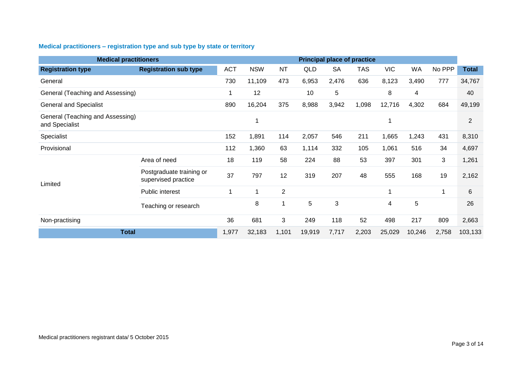## <span id="page-2-0"></span>**Medical practitioners – registration type and sub type by state or territory**

| <b>Medical practitioners</b>                       |                                                 |            |            |           |                 |           | <b>Principal place of practice</b> |            |                |         |                |
|----------------------------------------------------|-------------------------------------------------|------------|------------|-----------|-----------------|-----------|------------------------------------|------------|----------------|---------|----------------|
| <b>Registration type</b>                           | <b>Registration sub type</b>                    | <b>ACT</b> | <b>NSW</b> | <b>NT</b> | QLD             | <b>SA</b> | <b>TAS</b>                         | <b>VIC</b> | WA             | No PPP  | <b>Total</b>   |
| General                                            |                                                 | 730        | 11,109     | 473       | 6,953           | 2,476     | 636                                | 8,123      | 3,490          | 777     | 34,767         |
| General (Teaching and Assessing)                   |                                                 | 1          | 12         |           | 10              | 5         |                                    | 8          | 4              |         | 40             |
| <b>General and Specialist</b>                      |                                                 | 890        | 16,204     | 375       | 8,988           | 3,942     | 1,098                              | 12,716     | 4,302          | 684     | 49,199         |
| General (Teaching and Assessing)<br>and Specialist |                                                 |            | 1          |           |                 |           |                                    | 1          |                |         | $\overline{2}$ |
| Specialist                                         |                                                 | 152        | 1,891      | 114       | 2,057           | 546       | 211                                | 1,665      | 1,243          | 431     | 8,310          |
| Provisional                                        |                                                 | 112        | 1,360      | 63        | 1,114           | 332       | 105                                | 1,061      | 516            | 34      | 4,697          |
|                                                    | Area of need                                    | 18         | 119        | 58        | 224             | 88        | 53                                 | 397        | 301            | 3       | 1,261          |
| Limited                                            | Postgraduate training or<br>supervised practice | 37         | 797        | 12        | 319             | 207       | 48                                 | 555        | 168            | 19      | 2,162          |
|                                                    | Public interest                                 | 1          | 1          | 2         |                 |           |                                    | 1          |                | 1       | 6              |
|                                                    | Teaching or research                            |            | 8          | 1         | $5\overline{)}$ | 3         |                                    | 4          | $\overline{5}$ |         | 26             |
| Non-practising                                     |                                                 | 36         | 681        | 3         | 249             | 118       | 52                                 | 498        | 217            | 809     | 2,663          |
| <b>Total</b>                                       | 1,977                                           | 32,183     | 1,101      | 19,919    | 7,717           | 2,203     | 25,029                             | 10,246     | 2,758          | 103,133 |                |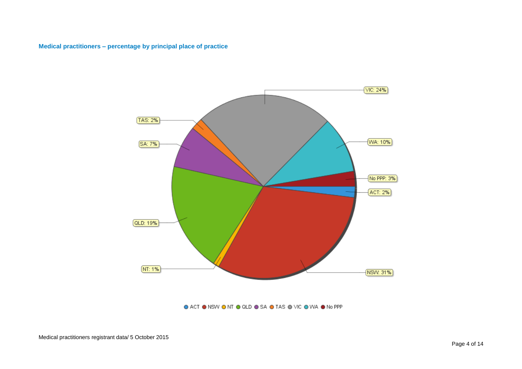#### <span id="page-3-0"></span>**Medical practitioners – percentage by principal place of practice**



● ACT ● NSW ● NT ● QLD ● SA ● TAS ● VIC ● WA ● No PPP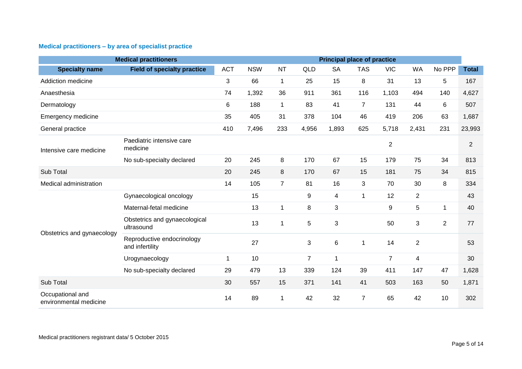## <span id="page-4-0"></span>**Medical practitioners – by area of specialist practice**

| <b>Medical practitioners</b><br><b>Principal place of practice</b> |                                               |             |            |                |                |           |                |                |                |                |                |
|--------------------------------------------------------------------|-----------------------------------------------|-------------|------------|----------------|----------------|-----------|----------------|----------------|----------------|----------------|----------------|
| <b>Specialty name</b>                                              | <b>Field of specialty practice</b>            | <b>ACT</b>  | <b>NSW</b> | <b>NT</b>      | QLD            | <b>SA</b> | <b>TAS</b>     | <b>VIC</b>     | <b>WA</b>      | No PPP         | <b>Total</b>   |
| Addiction medicine                                                 |                                               | 3           | 66         | $\mathbf{1}$   | 25             | 15        | 8              | 31             | 13             | 5              | 167            |
| Anaesthesia                                                        |                                               | 74          | 1,392      | 36             | 911            | 361       | 116            | 1,103          | 494            | 140            | 4,627          |
| Dermatology                                                        |                                               | 6           | 188        | $\mathbf{1}$   | 83             | 41        | $\overline{7}$ | 131            | 44             | 6              | 507            |
| Emergency medicine                                                 |                                               | 35          | 405        | 31             | 378            | 104       | 46             | 419            | 206            | 63             | 1,687          |
| General practice                                                   |                                               | 410         | 7,496      | 233            | 4,956          | 1,893     | 625            | 5,718          | 2,431          | 231            | 23,993         |
| Intensive care medicine                                            | Paediatric intensive care<br>medicine         |             |            |                |                |           |                | $\overline{2}$ |                |                | $\overline{2}$ |
|                                                                    | No sub-specialty declared                     | 20          | 245        | 8              | 170            | 67        | 15             | 179            | 75             | 34             | 813            |
| Sub Total                                                          |                                               | 20          | 245        | 8              | 170            | 67        | 15             | 181            | 75             | 34             | 815            |
| Medical administration                                             |                                               | 14          | 105        | $\overline{7}$ | 81             | 16        | 3              | 70             | 30             | 8              | 334            |
|                                                                    | Gynaecological oncology                       |             | 15         |                | 9              | 4         | 1              | 12             | $\overline{2}$ |                | 43             |
|                                                                    | Maternal-fetal medicine                       |             | 13         | 1              | 8              | 3         |                | 9              | 5              | 1              | 40             |
| Obstetrics and gynaecology                                         | Obstetrics and gynaecological<br>ultrasound   |             | 13         | 1              | 5              | 3         |                | 50             | 3              | $\overline{2}$ | 77             |
|                                                                    | Reproductive endocrinology<br>and infertility |             | 27         |                | $\mathbf{3}$   | 6         | 1              | 14             | $\overline{2}$ |                | 53             |
|                                                                    | Urogynaecology                                | $\mathbf 1$ | 10         |                | $\overline{7}$ | 1         |                | $\overline{7}$ | 4              |                | 30             |
|                                                                    | No sub-specialty declared                     | 29          | 479        | 13             | 339            | 124       | 39             | 411            | 147            | 47             | 1,628          |
| Sub Total                                                          |                                               | 30          | 557        | 15             | 371            | 141       | 41             | 503            | 163            | 50             | 1,871          |
| Occupational and<br>environmental medicine                         |                                               | 14          | 89         | $\mathbf{1}$   | 42             | 32        | $\overline{7}$ | 65             | 42             | 10             | 302            |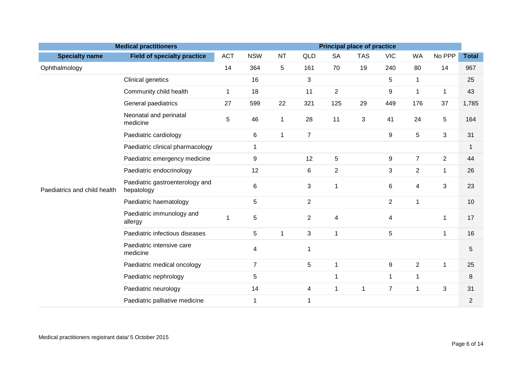|                              | <b>Medical practitioners</b>                  |            |                |              |                |                | <b>Principal place of practice</b> |                  |                |                |                |
|------------------------------|-----------------------------------------------|------------|----------------|--------------|----------------|----------------|------------------------------------|------------------|----------------|----------------|----------------|
| <b>Specialty name</b>        | <b>Field of specialty practice</b>            | <b>ACT</b> | <b>NSW</b>     | <b>NT</b>    | <b>QLD</b>     | <b>SA</b>      | <b>TAS</b>                         | <b>VIC</b>       | <b>WA</b>      | No PPP         | <b>Total</b>   |
| Ophthalmology                |                                               | 14         | 364            | 5            | 161            | 70             | 19                                 | 240              | 80             | 14             | 967            |
|                              | Clinical genetics                             |            | 16             |              | $\mathbf{3}$   |                |                                    | 5                | $\mathbf 1$    |                | 25             |
|                              | Community child health                        | 1          | 18             |              | 11             | $\overline{c}$ |                                    | $\boldsymbol{9}$ | $\mathbf{1}$   | $\mathbf 1$    | 43             |
|                              | General paediatrics                           | 27         | 599            | 22           | 321            | 125            | 29                                 | 449              | 176            | 37             | 1,785          |
|                              | Neonatal and perinatal<br>medicine            | 5          | 46             | $\mathbf{1}$ | 28             | 11             | 3                                  | 41               | 24             | 5              | 164            |
|                              | Paediatric cardiology                         |            | 6              | $\mathbf{1}$ | $\overline{7}$ |                |                                    | 9                | 5              | 3              | 31             |
|                              | Paediatric clinical pharmacology              |            | $\mathbf 1$    |              |                |                |                                    |                  |                |                | $\mathbf{1}$   |
| Paediatrics and child health | Paediatric emergency medicine                 |            | 9              |              | 12             | $\overline{5}$ |                                    | $\boldsymbol{9}$ | $\overline{7}$ | $\overline{2}$ | 44             |
|                              | Paediatric endocrinology                      |            | 12             |              | $\,6$          | $\overline{2}$ |                                    | 3                | $\overline{2}$ | $\mathbf{1}$   | 26             |
|                              | Paediatric gastroenterology and<br>hepatology |            | $\,6$          |              | $\mathbf{3}$   | $\mathbf 1$    |                                    | 6                | 4              | 3              | 23             |
|                              | Paediatric haematology                        |            | 5              |              | $\overline{2}$ |                |                                    | $\overline{2}$   | $\mathbf{1}$   |                | 10             |
|                              | Paediatric immunology and<br>allergy          | 1          | 5              |              | $\overline{2}$ | 4              |                                    | 4                |                | 1              | 17             |
|                              | Paediatric infectious diseases                |            | 5              | 1            | $\mathbf{3}$   | $\mathbf{1}$   |                                    | 5                |                | 1              | 16             |
|                              | Paediatric intensive care<br>medicine         |            | 4              |              | $\mathbf 1$    |                |                                    |                  |                |                | 5              |
|                              | Paediatric medical oncology                   |            | $\overline{7}$ |              | $\overline{5}$ | $\mathbf{1}$   |                                    | $\boldsymbol{9}$ | $\overline{2}$ | $\mathbf{1}$   | 25             |
|                              | Paediatric nephrology                         |            | 5              |              |                | $\mathbf{1}$   |                                    | $\mathbf{1}$     | $\mathbf{1}$   |                | 8              |
|                              | Paediatric neurology                          |            | 14             |              | $\overline{4}$ | 1              | 1                                  | $\overline{7}$   | $\mathbf{1}$   | $\sqrt{3}$     | 31             |
|                              | Paediatric palliative medicine                |            | $\mathbf{1}$   |              | $\mathbf 1$    |                |                                    |                  |                |                | $\overline{2}$ |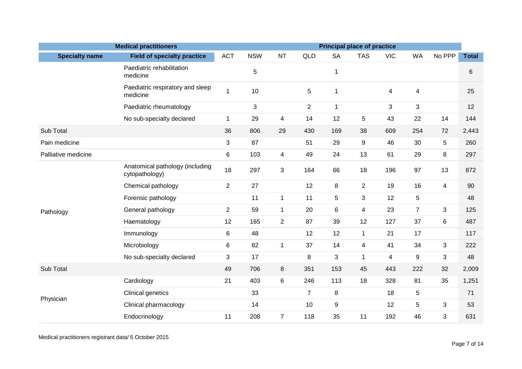| <b>Medical practitioners</b><br><b>Principal place of practice</b> |                                                   |                |            |                          |                |                  |                |            |                |                |              |
|--------------------------------------------------------------------|---------------------------------------------------|----------------|------------|--------------------------|----------------|------------------|----------------|------------|----------------|----------------|--------------|
| <b>Specialty name</b>                                              | <b>Field of specialty practice</b>                | <b>ACT</b>     | <b>NSW</b> | <b>NT</b>                | QLD            | <b>SA</b>        | <b>TAS</b>     | <b>VIC</b> | <b>WA</b>      | No PPP         | <b>Total</b> |
|                                                                    | Paediatric rehabilitation<br>medicine             |                | 5          |                          |                | 1                |                |            |                |                | 6            |
|                                                                    | Paediatric respiratory and sleep<br>medicine      | 1              | 10         |                          | 5              | $\mathbf{1}$     |                | 4          | 4              |                | 25           |
|                                                                    | Paediatric rheumatology                           |                | 3          |                          | $\overline{2}$ | $\mathbf{1}$     |                | 3          | 3              |                | 12           |
|                                                                    | No sub-specialty declared                         | $\mathbf{1}$   | 29         | 4                        | 14             | 12               | 5              | 43         | 22             | 14             | 144          |
| Sub Total                                                          |                                                   | 36             | 806        | 29                       | 430            | 169              | 38             | 609        | 254            | 72             | 2,443        |
| Pain medicine                                                      |                                                   | 3              | 87         |                          | 51             | 29               | 9              | 46         | 30             | $\overline{5}$ | 260          |
| Palliative medicine                                                |                                                   | 6              | 103        | $\overline{\mathcal{A}}$ | 49             | 24               | 13             | 61         | 29             | 8              | 297          |
|                                                                    | Anatomical pathology (including<br>cytopathology) | 18             | 297        | 3                        | 164            | 66               | 18             | 196        | 97             | 13             | 872          |
|                                                                    | Chemical pathology                                | $\overline{2}$ | 27         |                          | 12             | 8                | $\overline{2}$ | 19         | 16             | $\overline{4}$ | 90           |
|                                                                    | Forensic pathology                                |                | 11         | $\mathbf{1}$             | 11             | $\sqrt{5}$       | 3              | 12         | $\mathbf 5$    |                | 48           |
| Pathology                                                          | General pathology                                 | $\overline{2}$ | 59         | $\mathbf{1}$             | 20             | 6                | $\overline{4}$ | 23         | $\overline{7}$ | 3              | 125          |
|                                                                    | Haematology                                       | 12             | 165        | $\overline{2}$           | 87             | 39               | 12             | 127        | 37             | 6              | 487          |
|                                                                    | Immunology                                        | 6              | 48         |                          | 12             | 12               | $\mathbf 1$    | 21         | 17             |                | 117          |
|                                                                    | Microbiology                                      | 6              | 82         | $\mathbf{1}$             | 37             | 14               | $\overline{4}$ | 41         | 34             | 3              | 222          |
|                                                                    | No sub-specialty declared                         | 3              | 17         |                          | 8              | 3                | 1              | 4          | 9              | 3              | 48           |
| Sub Total                                                          |                                                   | 49             | 706        | 8                        | 351            | 153              | 45             | 443        | 222            | 32             | 2,009        |
|                                                                    | Cardiology                                        | 21             | 403        | 6                        | 246            | 113              | 18             | 328        | 81             | 35             | 1,251        |
| Physician                                                          | Clinical genetics                                 |                | 33         |                          | $\overline{7}$ | 8                |                | 18         | 5              |                | 71           |
|                                                                    | Clinical pharmacology                             |                | 14         |                          | 10             | $\boldsymbol{9}$ |                | 12         | 5              | 3              | 53           |
|                                                                    | Endocrinology                                     | 11             | 208        | $\overline{7}$           | 118            | 35               | 11             | 192        | 46             | 3              | 631          |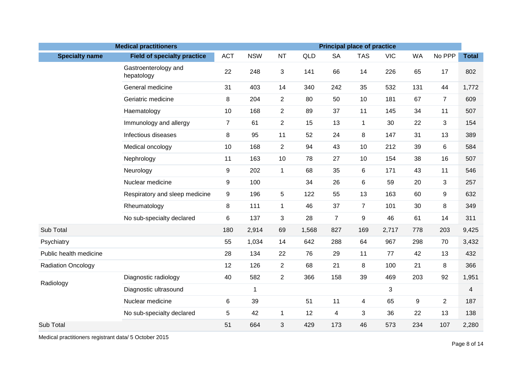| <b>Medical practitioners</b><br><b>Principal place of practice</b> |                                    |                |             |                |       |                         |                |            |           |                |              |
|--------------------------------------------------------------------|------------------------------------|----------------|-------------|----------------|-------|-------------------------|----------------|------------|-----------|----------------|--------------|
| <b>Specialty name</b>                                              | <b>Field of specialty practice</b> | <b>ACT</b>     | <b>NSW</b>  | <b>NT</b>      | QLD   | <b>SA</b>               | <b>TAS</b>     | <b>VIC</b> | <b>WA</b> | No PPP         | <b>Total</b> |
|                                                                    | Gastroenterology and<br>hepatology | 22             | 248         | $\mathfrak{S}$ | 141   | 66                      | 14             | 226        | 65        | 17             | 802          |
|                                                                    | General medicine                   | 31             | 403         | 14             | 340   | 242                     | 35             | 532        | 131       | 44             | 1,772        |
|                                                                    | Geriatric medicine                 | 8              | 204         | $\overline{2}$ | 80    | 50                      | 10             | 181        | 67        | $\overline{7}$ | 609          |
|                                                                    | Haematology                        | 10             | 168         | $\overline{2}$ | 89    | 37                      | 11             | 145        | 34        | 11             | 507          |
|                                                                    | Immunology and allergy             | $\overline{7}$ | 61          | $\overline{2}$ | 15    | 13                      | $\mathbf{1}$   | 30         | 22        | 3              | 154          |
|                                                                    | Infectious diseases                | 8              | 95          | 11             | 52    | 24                      | 8              | 147        | 31        | 13             | 389          |
|                                                                    | Medical oncology                   | 10             | 168         | $\overline{2}$ | 94    | 43                      | 10             | 212        | 39        | 6              | 584          |
|                                                                    | Nephrology                         | 11             | 163         | 10             | 78    | 27                      | 10             | 154        | 38        | 16             | 507          |
|                                                                    | Neurology                          | 9              | 202         | $\mathbf{1}$   | 68    | 35                      | 6              | 171        | 43        | 11             | 546          |
|                                                                    | Nuclear medicine                   | 9              | 100         |                | 34    | 26                      | 6              | 59         | 20        | 3              | 257          |
|                                                                    | Respiratory and sleep medicine     | $9\,$          | 196         | 5              | 122   | 55                      | 13             | 163        | 60        | 9              | 632          |
|                                                                    | Rheumatology                       | 8              | 111         | $\mathbf{1}$   | 46    | 37                      | $\overline{7}$ | 101        | 30        | 8              | 349          |
|                                                                    | No sub-specialty declared          | 6              | 137         | 3              | 28    | $\overline{7}$          | 9              | 46         | 61        | 14             | 311          |
| Sub Total                                                          |                                    | 180            | 2,914       | 69             | 1,568 | 827                     | 169            | 2,717      | 778       | 203            | 9,425        |
| Psychiatry                                                         |                                    | 55             | 1,034       | 14             | 642   | 288                     | 64             | 967        | 298       | 70             | 3,432        |
| Public health medicine                                             |                                    | 28             | 134         | 22             | 76    | 29                      | 11             | 77         | 42        | 13             | 432          |
| <b>Radiation Oncology</b>                                          |                                    | 12             | 126         | $\overline{2}$ | 68    | 21                      | 8              | 100        | 21        | 8              | 366          |
| Radiology                                                          | Diagnostic radiology               | 40             | 582         | $\overline{2}$ | 366   | 158                     | 39             | 469        | 203       | 92             | 1,951        |
|                                                                    | Diagnostic ultrasound              |                | $\mathbf 1$ |                |       |                         |                | 3          |           |                | 4            |
|                                                                    | Nuclear medicine                   | 6              | 39          |                | 51    | 11                      | $\overline{4}$ | 65         | 9         | $\overline{2}$ | 187          |
|                                                                    | No sub-specialty declared          | 5              | 42          | $\mathbf{1}$   | 12    | $\overline{\mathbf{4}}$ | 3              | 36         | 22        | 13             | 138          |
| Sub Total                                                          |                                    | 51             | 664         | 3              | 429   | 173                     | 46             | 573        | 234       | 107            | 2,280        |

Medical practitioners registrant data/ 5 October 2015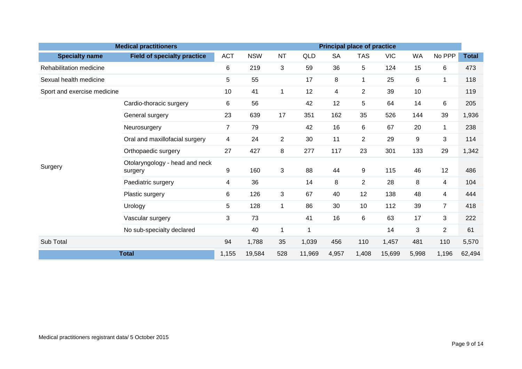|                             | <b>Medical practitioners</b>              |                |            |                |            |           |                | <b>Principal place of practice</b> |           |                |              |  |  |  |
|-----------------------------|-------------------------------------------|----------------|------------|----------------|------------|-----------|----------------|------------------------------------|-----------|----------------|--------------|--|--|--|
| <b>Specialty name</b>       | <b>Field of specialty practice</b>        | <b>ACT</b>     | <b>NSW</b> | <b>NT</b>      | <b>QLD</b> | <b>SA</b> | <b>TAS</b>     | <b>VIC</b>                         | <b>WA</b> | No PPP         | <b>Total</b> |  |  |  |
| Rehabilitation medicine     |                                           | 6              | 219        | 3              | 59         | 36        | 5              | 124                                | 15        | 6              | 473          |  |  |  |
| Sexual health medicine      |                                           | 5              | 55         |                | 17         | 8         | $\mathbf{1}$   | 25                                 | 6         | $\mathbf{1}$   | 118          |  |  |  |
| Sport and exercise medicine |                                           | 10             | 41         | 1              | 12         | 4         | $\overline{2}$ | 39                                 | 10        |                | 119          |  |  |  |
|                             | Cardio-thoracic surgery                   | 6              | 56         |                | 42         | 12        | 5              | 64                                 | 14        | 6              | 205          |  |  |  |
|                             | General surgery                           | 23             | 639        | 17             | 351        | 162       | 35             | 526                                | 144       | 39             | 1,936        |  |  |  |
|                             | Neurosurgery                              | $\overline{7}$ | 79         |                | 42         | 16        | 6              | 67                                 | 20        | 1              | 238          |  |  |  |
|                             | Oral and maxillofacial surgery            | 4              | 24         | $\overline{2}$ | 30         | 11        | $\overline{2}$ | 29                                 | 9         | 3              | 114          |  |  |  |
|                             | Orthopaedic surgery                       | 27             | 427        | 8              | 277        | 117       | 23             | 301                                | 133       | 29             | 1,342        |  |  |  |
| Surgery                     | Otolaryngology - head and neck<br>surgery | 9              | 160        | 3              | 88         | 44        | 9              | 115                                | 46        | 12             | 486          |  |  |  |
|                             | Paediatric surgery                        | 4              | 36         |                | 14         | 8         | $\overline{2}$ | 28                                 | 8         | 4              | 104          |  |  |  |
|                             | Plastic surgery                           | 6              | 126        | 3              | 67         | 40        | 12             | 138                                | 48        | 4              | 444          |  |  |  |
|                             | Urology                                   | 5              | 128        | 1              | 86         | 30        | 10             | 112                                | 39        | $\overline{7}$ | 418          |  |  |  |
|                             | Vascular surgery                          | 3              | 73         |                | 41         | 16        | 6              | 63                                 | 17        | 3              | 222          |  |  |  |
|                             | No sub-specialty declared                 |                | 40         | $\mathbf 1$    | 1          |           |                | 14                                 | 3         | $\overline{2}$ | 61           |  |  |  |
| Sub Total                   |                                           | 94             | 1,788      | 35             | 1,039      | 456       | 110            | 1,457                              | 481       | 110            | 5,570        |  |  |  |
| <b>Total</b>                | 1,155                                     | 19,584         | 528        | 11,969         | 4,957      | 1,408     | 15,699         | 5,998                              | 1,196     | 62,494         |              |  |  |  |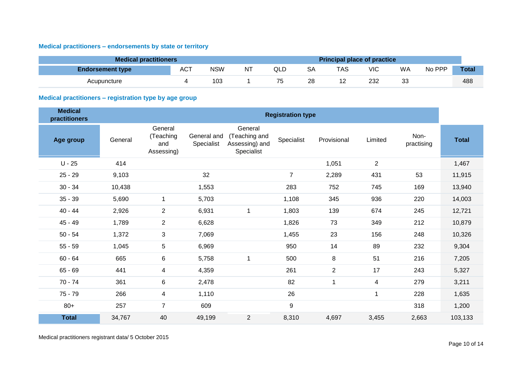## <span id="page-9-0"></span>**Medical practitioners – endorsements by state or territory**

| <b>Medical practitioners</b> |            |            |    |     |    | <b>Principal place of practice</b> |     |    |        |              |
|------------------------------|------------|------------|----|-----|----|------------------------------------|-----|----|--------|--------------|
| <b>Endorsement type</b>      | <b>ACT</b> | <b>NSW</b> | NT | QLD | SΑ | TAS                                | VIC | WA | No PPP | <b>Total</b> |
| Acupuncture                  |            | 103        |    |     | 28 |                                    | 232 | 33 |        | 488          |

## <span id="page-9-1"></span>**Medical practitioners – registration type by age group**

| <b>Medical</b><br>practitioners |         |                                           |                           |                                                          | <b>Registration type</b> |                |                |                    |              |
|---------------------------------|---------|-------------------------------------------|---------------------------|----------------------------------------------------------|--------------------------|----------------|----------------|--------------------|--------------|
| Age group                       | General | General<br>(Teaching<br>and<br>Assessing) | General and<br>Specialist | General<br>(Teaching and<br>Assessing) and<br>Specialist | Specialist               | Provisional    | Limited        | Non-<br>practising | <b>Total</b> |
| $U - 25$                        | 414     |                                           |                           |                                                          |                          | 1,051          | $\overline{2}$ |                    | 1,467        |
| $25 - 29$                       | 9,103   |                                           | 32                        |                                                          | $\overline{7}$           | 2,289          | 431            | 53                 | 11,915       |
| $30 - 34$                       | 10,438  |                                           | 1,553                     |                                                          | 283                      | 752            | 745            | 169                | 13,940       |
| $35 - 39$                       | 5,690   | 1                                         | 5,703                     |                                                          | 1,108                    | 345            | 936            | 220                | 14,003       |
| $40 - 44$                       | 2,926   | $\overline{2}$                            | 6,931                     | $\mathbf{1}$                                             | 1,803                    | 139            | 674            | 245                | 12,721       |
| $45 - 49$                       | 1,789   | $\overline{2}$                            | 6,628                     |                                                          | 1,826                    | 73             | 349            | 212                | 10,879       |
| $50 - 54$                       | 1,372   | 3                                         | 7,069                     |                                                          | 1,455                    | 23             | 156            | 248                | 10,326       |
| $55 - 59$                       | 1,045   | 5                                         | 6,969                     |                                                          | 950                      | 14             | 89             | 232                | 9,304        |
| $60 - 64$                       | 665     | 6                                         | 5,758                     | $\mathbf 1$                                              | 500                      | 8              | 51             | 216                | 7,205        |
| $65 - 69$                       | 441     | 4                                         | 4,359                     |                                                          | 261                      | $\overline{2}$ | 17             | 243                | 5,327        |
| $70 - 74$                       | 361     | 6                                         | 2,478                     |                                                          | 82                       | $\mathbf{1}$   | 4              | 279                | 3,211        |
| $75 - 79$                       | 266     | 4                                         | 1,110                     |                                                          | 26                       |                | 1              | 228                | 1,635        |
| $80+$                           | 257     | $\overline{7}$                            | 609                       |                                                          | 9                        |                |                | 318                | 1,200        |
| <b>Total</b>                    | 34,767  | 40                                        | 49,199                    | $\overline{2}$                                           | 8,310                    | 4,697          | 3,455          | 2,663              | 103,133      |

Medical practitioners registrant data/ 5 October 2015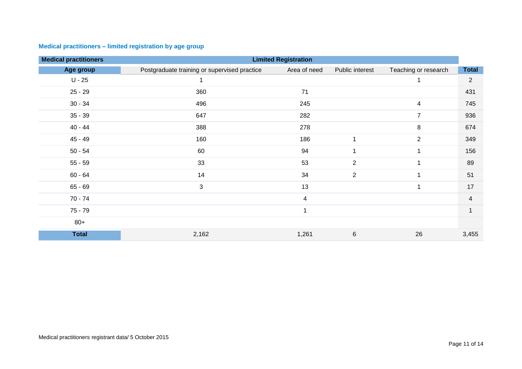| <b>Medical practitioners</b> |                                              | <b>Limited Registration</b> |                 |                      |                |
|------------------------------|----------------------------------------------|-----------------------------|-----------------|----------------------|----------------|
| Age group                    | Postgraduate training or supervised practice | Area of need                | Public interest | Teaching or research | <b>Total</b>   |
| $U - 25$                     |                                              |                             |                 |                      | $\overline{a}$ |
| $25 - 29$                    | 360                                          | 71                          |                 |                      | 431            |
| $30 - 34$                    | 496                                          | 245                         |                 | $\overline{4}$       | 745            |
| $35 - 39$                    | 647                                          | 282                         |                 | $\overline{7}$       | 936            |
| $40 - 44$                    | 388                                          | 278                         |                 | 8                    | 674            |
| $45 - 49$                    | 160                                          | 186                         | $\mathbf{1}$    | $\overline{2}$       | 349            |
| $50 - 54$                    | 60                                           | 94                          | 1               |                      | 156            |
| $55 - 59$                    | 33                                           | 53                          | $\overline{2}$  |                      | 89             |
| $60 - 64$                    | 14                                           | 34                          | $\overline{2}$  | 1                    | 51             |
| $65 - 69$                    | 3                                            | 13                          |                 |                      | 17             |
| $70 - 74$                    |                                              | $\overline{4}$              |                 |                      | 4              |
| $75 - 79$                    |                                              | 1                           |                 |                      | -1             |
| $80+$                        |                                              |                             |                 |                      |                |
| <b>Total</b>                 | 2,162                                        | 1,261                       | 6               | 26                   | 3,455          |

## <span id="page-10-0"></span>**Medical practitioners – limited registration by age group**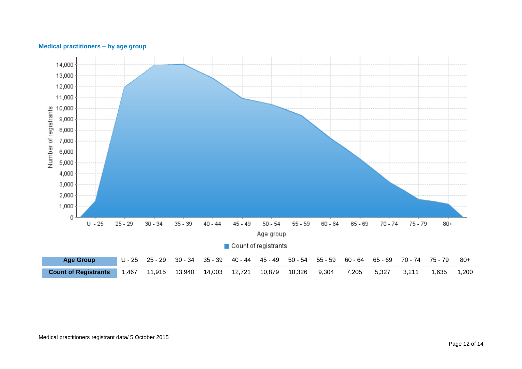

#### <span id="page-11-0"></span>**Medical practitioners – by age group**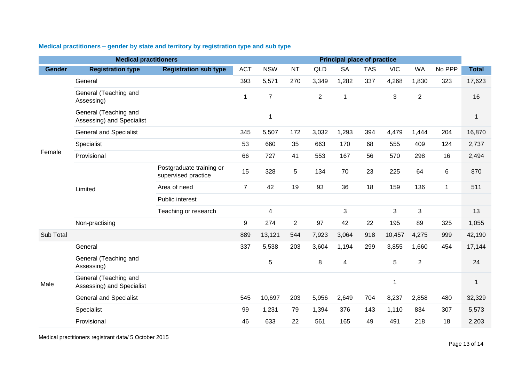|               | <b>Medical practitioners</b>                       |                                                 |                |                |                |                | <b>Principal place of practice</b> |            |            |                |             |              |
|---------------|----------------------------------------------------|-------------------------------------------------|----------------|----------------|----------------|----------------|------------------------------------|------------|------------|----------------|-------------|--------------|
| <b>Gender</b> | <b>Registration type</b>                           | <b>Registration sub type</b>                    | <b>ACT</b>     | <b>NSW</b>     | <b>NT</b>      | QLD            | <b>SA</b>                          | <b>TAS</b> | <b>VIC</b> | <b>WA</b>      | No PPP      | <b>Total</b> |
|               | General                                            |                                                 | 393            | 5,571          | 270            | 3,349          | 1,282                              | 337        | 4,268      | 1,830          | 323         | 17,623       |
|               | General (Teaching and<br>Assessing)                |                                                 | 1              | $\overline{7}$ |                | $\overline{2}$ | -1                                 |            | 3          | $\overline{2}$ |             | 16           |
|               | General (Teaching and<br>Assessing) and Specialist |                                                 |                | 1              |                |                |                                    |            |            |                |             | $\mathbf{1}$ |
|               | <b>General and Specialist</b>                      |                                                 | 345            | 5,507          | 172            | 3,032          | 1,293                              | 394        | 4,479      | 1,444          | 204         | 16,870       |
|               | Specialist                                         |                                                 | 53             | 660            | 35             | 663            | 170                                | 68         | 555        | 409            | 124         | 2,737        |
| Female        | Provisional                                        |                                                 | 66             | 727            | 41             | 553            | 167                                | 56         | 570        | 298            | 16          | 2,494        |
|               |                                                    | Postgraduate training or<br>supervised practice | 15             | 328            | 5              | 134            | 70                                 | 23         | 225        | 64             | $\,6$       | 870          |
|               | Limited                                            | Area of need                                    | $\overline{7}$ | 42             | 19             | 93             | 36                                 | 18         | 159        | 136            | $\mathbf 1$ | 511          |
|               |                                                    | Public interest                                 |                |                |                |                |                                    |            |            |                |             |              |
|               |                                                    | Teaching or research                            |                | 4              |                |                | 3                                  |            | 3          | 3              |             | 13           |
|               | Non-practising                                     |                                                 | 9              | 274            | $\overline{2}$ | 97             | 42                                 | 22         | 195        | 89             | 325         | 1,055        |
| Sub Total     |                                                    |                                                 | 889            | 13,121         | 544            | 7,923          | 3,064                              | 918        | 10,457     | 4,275          | 999         | 42,190       |
|               | General                                            |                                                 | 337            | 5,538          | 203            | 3,604          | 1,194                              | 299        | 3,855      | 1,660          | 454         | 17,144       |
|               | General (Teaching and<br>Assessing)                |                                                 |                | 5              |                | 8              | 4                                  |            | 5          | $\overline{2}$ |             | 24           |
| Male          | General (Teaching and<br>Assessing) and Specialist |                                                 |                |                |                |                |                                    |            | 1          |                |             | 1            |
|               | <b>General and Specialist</b>                      |                                                 | 545            | 10,697         | 203            | 5,956          | 2,649                              | 704        | 8,237      | 2,858          | 480         | 32,329       |
|               | Specialist                                         |                                                 | 99             | 1,231          | 79             | 1,394          | 376                                | 143        | 1,110      | 834            | 307         | 5,573        |
|               | Provisional                                        |                                                 | 46             | 633            | 22             | 561            | 165                                | 49         | 491        | 218            | 18          | 2,203        |

## <span id="page-12-0"></span>**Medical practitioners – gender by state and territory by registration type and sub type**

Medical practitioners registrant data/ 5 October 2015